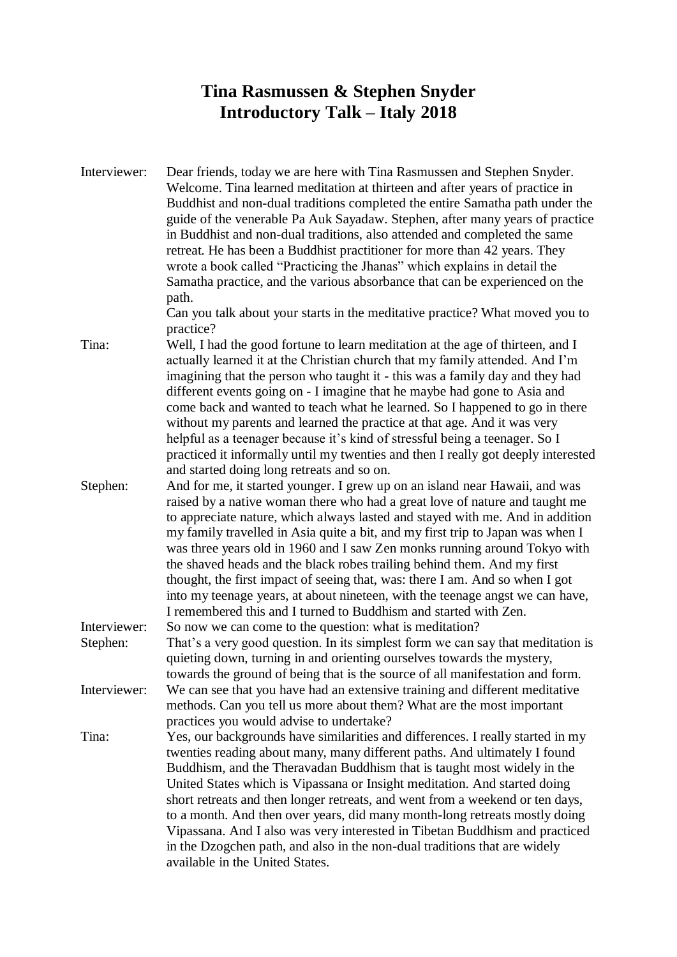## **Tina Rasmussen & Stephen Snyder Introductory Talk – Italy 2018**

Interviewer: Dear friends, today we are here with Tina Rasmussen and Stephen Snyder. Welcome. Tina learned meditation at thirteen and after years of practice in Buddhist and non-dual traditions completed the entire Samatha path under the guide of the venerable Pa Auk Sayadaw. Stephen, after many years of practice in Buddhist and non-dual traditions, also attended and completed the same retreat. He has been a Buddhist practitioner for more than 42 years. They wrote a book called "Practicing the Jhanas" which explains in detail the Samatha practice, and the various absorbance that can be experienced on the path.

Can you talk about your starts in the meditative practice? What moved you to practice?

- Tina: Well, I had the good fortune to learn meditation at the age of thirteen, and I actually learned it at the Christian church that my family attended. And I'm imagining that the person who taught it - this was a family day and they had different events going on - I imagine that he maybe had gone to Asia and come back and wanted to teach what he learned. So I happened to go in there without my parents and learned the practice at that age. And it was very helpful as a teenager because it's kind of stressful being a teenager. So I practiced it informally until my twenties and then I really got deeply interested and started doing long retreats and so on.
- Stephen: And for me, it started younger. I grew up on an island near Hawaii, and was raised by a native woman there who had a great love of nature and taught me to appreciate nature, which always lasted and stayed with me. And in addition my family travelled in Asia quite a bit, and my first trip to Japan was when I was three years old in 1960 and I saw Zen monks running around Tokyo with the shaved heads and the black robes trailing behind them. And my first thought, the first impact of seeing that, was: there I am. And so when I got into my teenage years, at about nineteen, with the teenage angst we can have, I remembered this and I turned to Buddhism and started with Zen.
- Interviewer: So now we can come to the question: what is meditation? Stephen: That's a very good question. In its simplest form we can say that meditation is quieting down, turning in and orienting ourselves towards the mystery, towards the ground of being that is the source of all manifestation and form.
- Interviewer: We can see that you have had an extensive training and different meditative methods. Can you tell us more about them? What are the most important practices you would advise to undertake?
- Tina: Yes, our backgrounds have similarities and differences. I really started in my twenties reading about many, many different paths. And ultimately I found Buddhism, and the Theravadan Buddhism that is taught most widely in the United States which is Vipassana or Insight meditation. And started doing short retreats and then longer retreats, and went from a weekend or ten days, to a month. And then over years, did many month-long retreats mostly doing Vipassana. And I also was very interested in Tibetan Buddhism and practiced in the Dzogchen path, and also in the non-dual traditions that are widely available in the United States.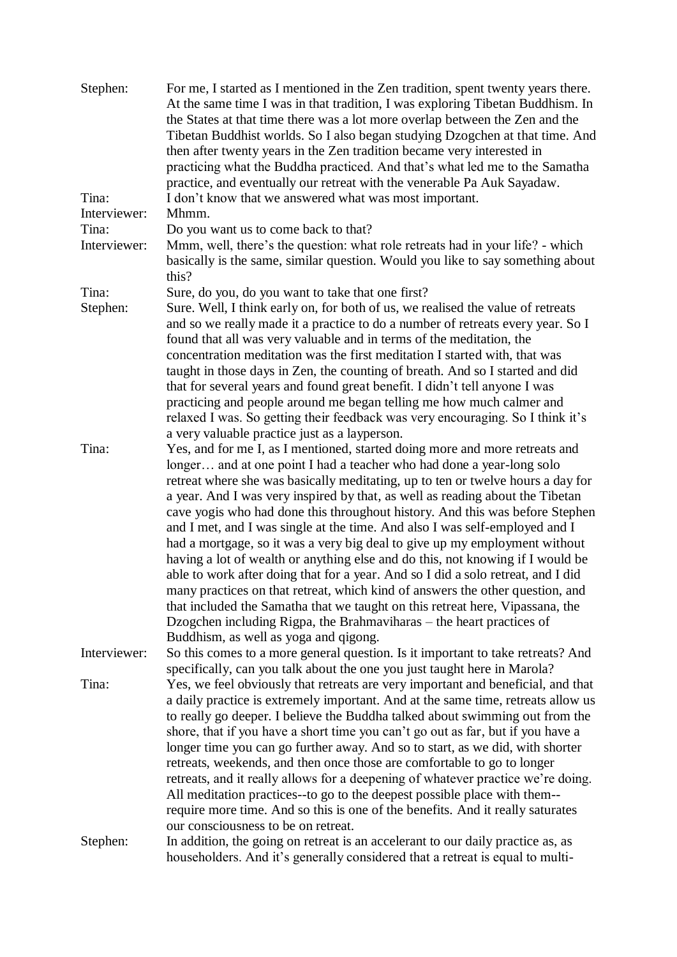| Stephen:     | For me, I started as I mentioned in the Zen tradition, spent twenty years there.<br>At the same time I was in that tradition, I was exploring Tibetan Buddhism. In<br>the States at that time there was a lot more overlap between the Zen and the<br>Tibetan Buddhist worlds. So I also began studying Dzogchen at that time. And<br>then after twenty years in the Zen tradition became very interested in<br>practicing what the Buddha practiced. And that's what led me to the Samatha<br>practice, and eventually our retreat with the venerable Pa Auk Sayadaw. |
|--------------|------------------------------------------------------------------------------------------------------------------------------------------------------------------------------------------------------------------------------------------------------------------------------------------------------------------------------------------------------------------------------------------------------------------------------------------------------------------------------------------------------------------------------------------------------------------------|
| Tina:        | I don't know that we answered what was most important.                                                                                                                                                                                                                                                                                                                                                                                                                                                                                                                 |
| Interviewer: | Mhmm.                                                                                                                                                                                                                                                                                                                                                                                                                                                                                                                                                                  |
| Tina:        | Do you want us to come back to that?                                                                                                                                                                                                                                                                                                                                                                                                                                                                                                                                   |
| Interviewer: | Mmm, well, there's the question: what role retreats had in your life? - which<br>basically is the same, similar question. Would you like to say something about<br>this?                                                                                                                                                                                                                                                                                                                                                                                               |
| Tina:        | Sure, do you, do you want to take that one first?                                                                                                                                                                                                                                                                                                                                                                                                                                                                                                                      |
| Stephen:     | Sure. Well, I think early on, for both of us, we realised the value of retreats                                                                                                                                                                                                                                                                                                                                                                                                                                                                                        |
|              | and so we really made it a practice to do a number of retreats every year. So I<br>found that all was very valuable and in terms of the meditation, the                                                                                                                                                                                                                                                                                                                                                                                                                |
|              | concentration meditation was the first meditation I started with, that was<br>taught in those days in Zen, the counting of breath. And so I started and did                                                                                                                                                                                                                                                                                                                                                                                                            |
|              | that for several years and found great benefit. I didn't tell anyone I was                                                                                                                                                                                                                                                                                                                                                                                                                                                                                             |
|              | practicing and people around me began telling me how much calmer and                                                                                                                                                                                                                                                                                                                                                                                                                                                                                                   |
|              | relaxed I was. So getting their feedback was very encouraging. So I think it's                                                                                                                                                                                                                                                                                                                                                                                                                                                                                         |
|              | a very valuable practice just as a layperson.                                                                                                                                                                                                                                                                                                                                                                                                                                                                                                                          |
| Tina:        | Yes, and for me I, as I mentioned, started doing more and more retreats and<br>longer and at one point I had a teacher who had done a year-long solo                                                                                                                                                                                                                                                                                                                                                                                                                   |
|              | retreat where she was basically meditating, up to ten or twelve hours a day for<br>a year. And I was very inspired by that, as well as reading about the Tibetan<br>cave yogis who had done this throughout history. And this was before Stephen<br>and I met, and I was single at the time. And also I was self-employed and I                                                                                                                                                                                                                                        |
|              | had a mortgage, so it was a very big deal to give up my employment without<br>having a lot of wealth or anything else and do this, not knowing if I would be<br>able to work after doing that for a year. And so I did a solo retreat, and I did<br>many practices on that retreat, which kind of answers the other question, and<br>that included the Samatha that we taught on this retreat here, Vipassana, the<br>Dzogchen including Rigpa, the Brahmaviharas – the heart practices of                                                                             |
|              | Buddhism, as well as yoga and qigong.                                                                                                                                                                                                                                                                                                                                                                                                                                                                                                                                  |
| Interviewer: | So this comes to a more general question. Is it important to take retreats? And<br>specifically, can you talk about the one you just taught here in Marola?                                                                                                                                                                                                                                                                                                                                                                                                            |
| Tina:        | Yes, we feel obviously that retreats are very important and beneficial, and that<br>a daily practice is extremely important. And at the same time, retreats allow us                                                                                                                                                                                                                                                                                                                                                                                                   |
|              | to really go deeper. I believe the Buddha talked about swimming out from the                                                                                                                                                                                                                                                                                                                                                                                                                                                                                           |
|              | shore, that if you have a short time you can't go out as far, but if you have a                                                                                                                                                                                                                                                                                                                                                                                                                                                                                        |
|              | longer time you can go further away. And so to start, as we did, with shorter                                                                                                                                                                                                                                                                                                                                                                                                                                                                                          |
|              | retreats, weekends, and then once those are comfortable to go to longer                                                                                                                                                                                                                                                                                                                                                                                                                                                                                                |
|              | retreats, and it really allows for a deepening of whatever practice we're doing.                                                                                                                                                                                                                                                                                                                                                                                                                                                                                       |
|              | All meditation practices--to go to the deepest possible place with them--                                                                                                                                                                                                                                                                                                                                                                                                                                                                                              |
|              | require more time. And so this is one of the benefits. And it really saturates                                                                                                                                                                                                                                                                                                                                                                                                                                                                                         |
|              | our consciousness to be on retreat.                                                                                                                                                                                                                                                                                                                                                                                                                                                                                                                                    |
| Stephen:     | In addition, the going on retreat is an accelerant to our daily practice as, as<br>householders. And it's generally considered that a retreat is equal to multi-                                                                                                                                                                                                                                                                                                                                                                                                       |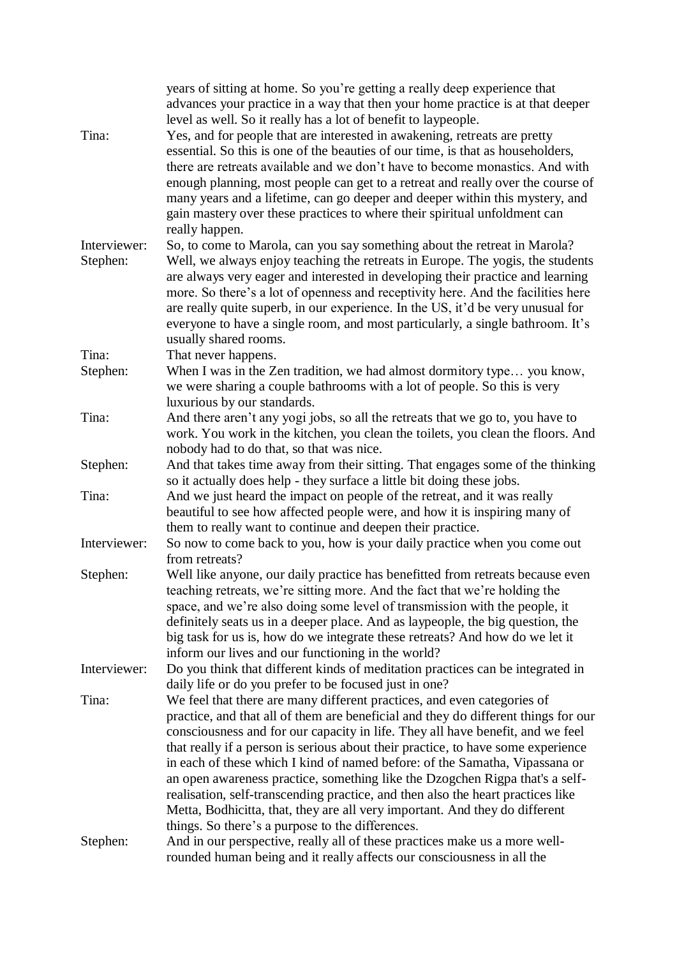|                          | years of sitting at home. So you're getting a really deep experience that<br>advances your practice in a way that then your home practice is at that deeper<br>level as well. So it really has a lot of benefit to laypeople.                                                                                                                                                                                                                                                                                                                                                                                                                                                                                            |
|--------------------------|--------------------------------------------------------------------------------------------------------------------------------------------------------------------------------------------------------------------------------------------------------------------------------------------------------------------------------------------------------------------------------------------------------------------------------------------------------------------------------------------------------------------------------------------------------------------------------------------------------------------------------------------------------------------------------------------------------------------------|
| Tina:                    | Yes, and for people that are interested in awakening, retreats are pretty<br>essential. So this is one of the beauties of our time, is that as householders,<br>there are retreats available and we don't have to become monastics. And with<br>enough planning, most people can get to a retreat and really over the course of<br>many years and a lifetime, can go deeper and deeper within this mystery, and<br>gain mastery over these practices to where their spiritual unfoldment can<br>really happen.                                                                                                                                                                                                           |
| Interviewer:<br>Stephen: | So, to come to Marola, can you say something about the retreat in Marola?<br>Well, we always enjoy teaching the retreats in Europe. The yogis, the students<br>are always very eager and interested in developing their practice and learning<br>more. So there's a lot of openness and receptivity here. And the facilities here<br>are really quite superb, in our experience. In the US, it'd be very unusual for<br>everyone to have a single room, and most particularly, a single bathroom. It's<br>usually shared rooms.                                                                                                                                                                                          |
| Tina:                    | That never happens.                                                                                                                                                                                                                                                                                                                                                                                                                                                                                                                                                                                                                                                                                                      |
| Stephen:                 | When I was in the Zen tradition, we had almost dormitory type you know,<br>we were sharing a couple bathrooms with a lot of people. So this is very<br>luxurious by our standards.                                                                                                                                                                                                                                                                                                                                                                                                                                                                                                                                       |
| Tina:                    | And there aren't any yogi jobs, so all the retreats that we go to, you have to<br>work. You work in the kitchen, you clean the toilets, you clean the floors. And<br>nobody had to do that, so that was nice.                                                                                                                                                                                                                                                                                                                                                                                                                                                                                                            |
| Stephen:                 | And that takes time away from their sitting. That engages some of the thinking<br>so it actually does help - they surface a little bit doing these jobs.                                                                                                                                                                                                                                                                                                                                                                                                                                                                                                                                                                 |
| Tina:                    | And we just heard the impact on people of the retreat, and it was really<br>beautiful to see how affected people were, and how it is inspiring many of<br>them to really want to continue and deepen their practice.                                                                                                                                                                                                                                                                                                                                                                                                                                                                                                     |
| Interviewer:             | So now to come back to you, how is your daily practice when you come out<br>from retreats?                                                                                                                                                                                                                                                                                                                                                                                                                                                                                                                                                                                                                               |
| Stephen:                 | Well like anyone, our daily practice has benefitted from retreats because even<br>teaching retreats, we're sitting more. And the fact that we're holding the<br>space, and we're also doing some level of transmission with the people, it<br>definitely seats us in a deeper place. And as laypeople, the big question, the<br>big task for us is, how do we integrate these retreats? And how do we let it<br>inform our lives and our functioning in the world?                                                                                                                                                                                                                                                       |
| Interviewer:             | Do you think that different kinds of meditation practices can be integrated in<br>daily life or do you prefer to be focused just in one?                                                                                                                                                                                                                                                                                                                                                                                                                                                                                                                                                                                 |
| Tina:                    | We feel that there are many different practices, and even categories of<br>practice, and that all of them are beneficial and they do different things for our<br>consciousness and for our capacity in life. They all have benefit, and we feel<br>that really if a person is serious about their practice, to have some experience<br>in each of these which I kind of named before: of the Samatha, Vipassana or<br>an open awareness practice, something like the Dzogchen Rigpa that's a self-<br>realisation, self-transcending practice, and then also the heart practices like<br>Metta, Bodhicitta, that, they are all very important. And they do different<br>things. So there's a purpose to the differences. |
| Stephen:                 | And in our perspective, really all of these practices make us a more well-<br>rounded human being and it really affects our consciousness in all the                                                                                                                                                                                                                                                                                                                                                                                                                                                                                                                                                                     |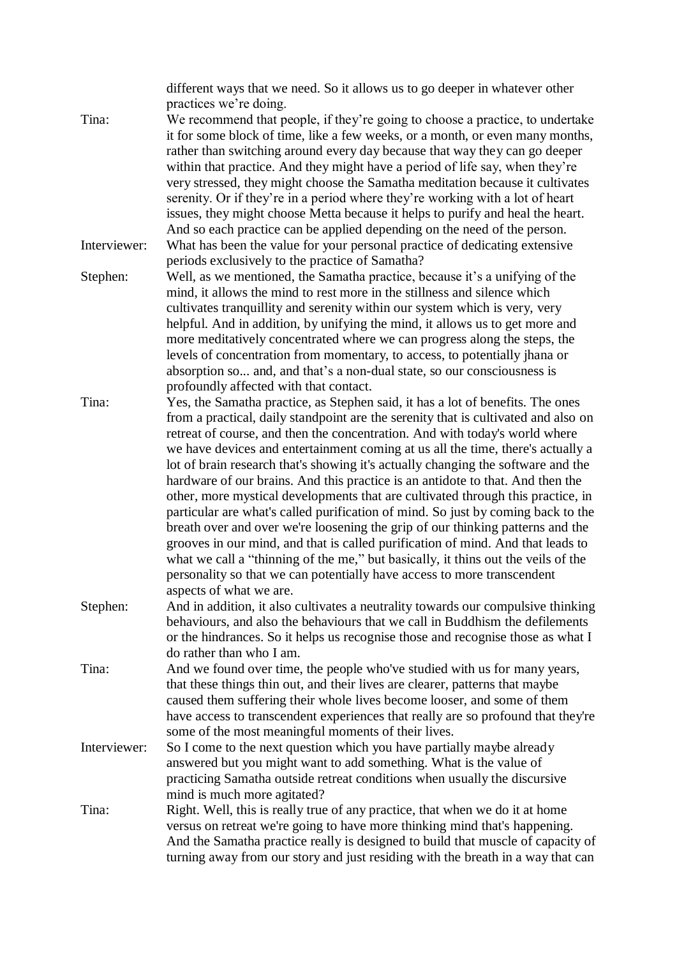different ways that we need. So it allows us to go deeper in whatever other practices we're doing. Tina: We recommend that people, if they're going to choose a practice, to undertake

it for some block of time, like a few weeks, or a month, or even many months, rather than switching around every day because that way they can go deeper within that practice. And they might have a period of life say, when they're very stressed, they might choose the Samatha meditation because it cultivates serenity. Or if they're in a period where they're working with a lot of heart issues, they might choose Metta because it helps to purify and heal the heart. And so each practice can be applied depending on the need of the person.

Interviewer: What has been the value for your personal practice of dedicating extensive periods exclusively to the practice of Samatha?

Stephen: Well, as we mentioned, the Samatha practice, because it's a unifying of the mind, it allows the mind to rest more in the stillness and silence which cultivates tranquillity and serenity within our system which is very, very helpful. And in addition, by unifying the mind, it allows us to get more and more meditatively concentrated where we can progress along the steps, the levels of concentration from momentary, to access, to potentially jhana or absorption so... and, and that's a non-dual state, so our consciousness is profoundly affected with that contact.

Tina: Yes, the Samatha practice, as Stephen said, it has a lot of benefits. The ones from a practical, daily standpoint are the serenity that is cultivated and also on retreat of course, and then the concentration. And with today's world where we have devices and entertainment coming at us all the time, there's actually a lot of brain research that's showing it's actually changing the software and the hardware of our brains. And this practice is an antidote to that. And then the other, more mystical developments that are cultivated through this practice, in particular are what's called purification of mind. So just by coming back to the breath over and over we're loosening the grip of our thinking patterns and the grooves in our mind, and that is called purification of mind. And that leads to what we call a "thinning of the me," but basically, it thins out the veils of the personality so that we can potentially have access to more transcendent aspects of what we are.

- Stephen: And in addition, it also cultivates a neutrality towards our compulsive thinking behaviours, and also the behaviours that we call in Buddhism the defilements or the hindrances. So it helps us recognise those and recognise those as what I do rather than who I am.
- Tina: And we found over time, the people who've studied with us for many years, that these things thin out, and their lives are clearer, patterns that maybe caused them suffering their whole lives become looser, and some of them have access to transcendent experiences that really are so profound that they're some of the most meaningful moments of their lives.
- Interviewer: So I come to the next question which you have partially maybe already answered but you might want to add something. What is the value of practicing Samatha outside retreat conditions when usually the discursive mind is much more agitated?
- Tina: Right. Well, this is really true of any practice, that when we do it at home versus on retreat we're going to have more thinking mind that's happening. And the Samatha practice really is designed to build that muscle of capacity of turning away from our story and just residing with the breath in a way that can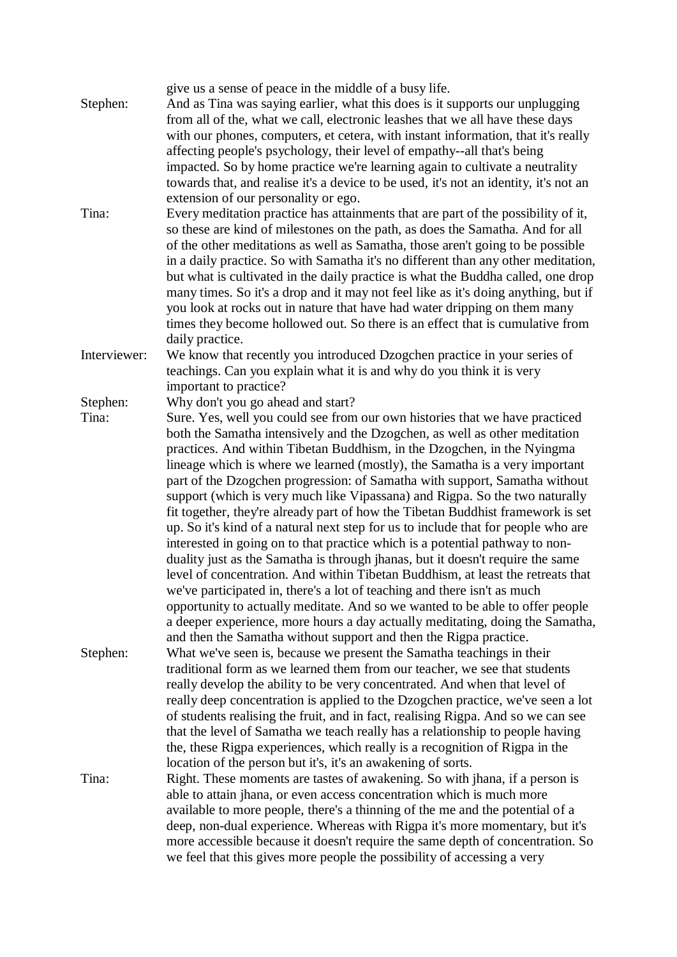| Stephen:     | give us a sense of peace in the middle of a busy life.<br>And as Tina was saying earlier, what this does is it supports our unplugging<br>from all of the, what we call, electronic leashes that we all have these days<br>with our phones, computers, et cetera, with instant information, that it's really<br>affecting people's psychology, their level of empathy--all that's being<br>impacted. So by home practice we're learning again to cultivate a neutrality<br>towards that, and realise it's a device to be used, it's not an identity, it's not an                                                                                                                                                                                                                                                                                                                                                                                                                                                                                                                                                                                                                                                                 |
|--------------|----------------------------------------------------------------------------------------------------------------------------------------------------------------------------------------------------------------------------------------------------------------------------------------------------------------------------------------------------------------------------------------------------------------------------------------------------------------------------------------------------------------------------------------------------------------------------------------------------------------------------------------------------------------------------------------------------------------------------------------------------------------------------------------------------------------------------------------------------------------------------------------------------------------------------------------------------------------------------------------------------------------------------------------------------------------------------------------------------------------------------------------------------------------------------------------------------------------------------------|
| Tina:        | extension of our personality or ego.<br>Every meditation practice has attainments that are part of the possibility of it,<br>so these are kind of milestones on the path, as does the Samatha. And for all<br>of the other meditations as well as Samatha, those aren't going to be possible<br>in a daily practice. So with Samatha it's no different than any other meditation,<br>but what is cultivated in the daily practice is what the Buddha called, one drop<br>many times. So it's a drop and it may not feel like as it's doing anything, but if<br>you look at rocks out in nature that have had water dripping on them many<br>times they become hollowed out. So there is an effect that is cumulative from<br>daily practice.                                                                                                                                                                                                                                                                                                                                                                                                                                                                                     |
| Interviewer: | We know that recently you introduced Dzogchen practice in your series of<br>teachings. Can you explain what it is and why do you think it is very<br>important to practice?                                                                                                                                                                                                                                                                                                                                                                                                                                                                                                                                                                                                                                                                                                                                                                                                                                                                                                                                                                                                                                                      |
| Stephen:     | Why don't you go ahead and start?                                                                                                                                                                                                                                                                                                                                                                                                                                                                                                                                                                                                                                                                                                                                                                                                                                                                                                                                                                                                                                                                                                                                                                                                |
| Tina:        | Sure. Yes, well you could see from our own histories that we have practiced<br>both the Samatha intensively and the Dzogchen, as well as other meditation<br>practices. And within Tibetan Buddhism, in the Dzogchen, in the Nyingma<br>lineage which is where we learned (mostly), the Samatha is a very important<br>part of the Dzogchen progression: of Samatha with support, Samatha without<br>support (which is very much like Vipassana) and Rigpa. So the two naturally<br>fit together, they're already part of how the Tibetan Buddhist framework is set<br>up. So it's kind of a natural next step for us to include that for people who are<br>interested in going on to that practice which is a potential pathway to non-<br>duality just as the Samatha is through jhanas, but it doesn't require the same<br>level of concentration. And within Tibetan Buddhism, at least the retreats that<br>we've participated in, there's a lot of teaching and there isn't as much<br>opportunity to actually meditate. And so we wanted to be able to offer people<br>a deeper experience, more hours a day actually meditating, doing the Samatha,<br>and then the Samatha without support and then the Rigpa practice. |
| Stephen:     | What we've seen is, because we present the Samatha teachings in their<br>traditional form as we learned them from our teacher, we see that students<br>really develop the ability to be very concentrated. And when that level of<br>really deep concentration is applied to the Dzogchen practice, we've seen a lot<br>of students realising the fruit, and in fact, realising Rigpa. And so we can see<br>that the level of Samatha we teach really has a relationship to people having<br>the, these Rigpa experiences, which really is a recognition of Rigpa in the<br>location of the person but it's, it's an awakening of sorts.                                                                                                                                                                                                                                                                                                                                                                                                                                                                                                                                                                                         |
| Tina:        | Right. These moments are tastes of awakening. So with jhana, if a person is<br>able to attain jhana, or even access concentration which is much more<br>available to more people, there's a thinning of the me and the potential of a<br>deep, non-dual experience. Whereas with Rigpa it's more momentary, but it's<br>more accessible because it doesn't require the same depth of concentration. So<br>we feel that this gives more people the possibility of accessing a very                                                                                                                                                                                                                                                                                                                                                                                                                                                                                                                                                                                                                                                                                                                                                |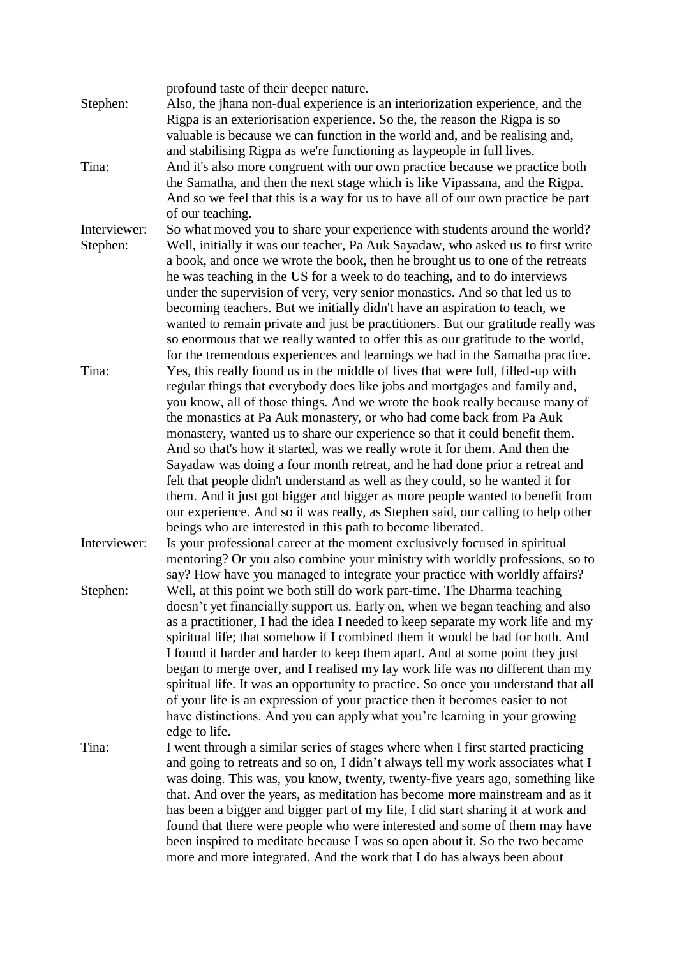| Stephen:                 | profound taste of their deeper nature.<br>Also, the jhana non-dual experience is an interiorization experience, and the<br>Rigpa is an exteriorisation experience. So the, the reason the Rigpa is so                                                                                                                                                                                                                                                                                                                                                                                                                                                                                                                                                                                                                                                                                 |
|--------------------------|---------------------------------------------------------------------------------------------------------------------------------------------------------------------------------------------------------------------------------------------------------------------------------------------------------------------------------------------------------------------------------------------------------------------------------------------------------------------------------------------------------------------------------------------------------------------------------------------------------------------------------------------------------------------------------------------------------------------------------------------------------------------------------------------------------------------------------------------------------------------------------------|
| Tina:                    | valuable is because we can function in the world and, and be realising and,<br>and stabilising Rigpa as we're functioning as laypeople in full lives.<br>And it's also more congruent with our own practice because we practice both<br>the Samatha, and then the next stage which is like Vipassana, and the Rigpa.<br>And so we feel that this is a way for us to have all of our own practice be part<br>of our teaching.                                                                                                                                                                                                                                                                                                                                                                                                                                                          |
| Interviewer:<br>Stephen: | So what moved you to share your experience with students around the world?<br>Well, initially it was our teacher, Pa Auk Sayadaw, who asked us to first write<br>a book, and once we wrote the book, then he brought us to one of the retreats<br>he was teaching in the US for a week to do teaching, and to do interviews<br>under the supervision of very, very senior monastics. And so that led us to<br>becoming teachers. But we initially didn't have an aspiration to teach, we<br>wanted to remain private and just be practitioners. But our gratitude really was<br>so enormous that we really wanted to offer this as our gratitude to the world,<br>for the tremendous experiences and learnings we had in the Samatha practice.                                                                                                                                        |
| Tina:                    | Yes, this really found us in the middle of lives that were full, filled-up with<br>regular things that everybody does like jobs and mortgages and family and,<br>you know, all of those things. And we wrote the book really because many of<br>the monastics at Pa Auk monastery, or who had come back from Pa Auk<br>monastery, wanted us to share our experience so that it could benefit them.<br>And so that's how it started, was we really wrote it for them. And then the<br>Sayadaw was doing a four month retreat, and he had done prior a retreat and<br>felt that people didn't understand as well as they could, so he wanted it for<br>them. And it just got bigger and bigger as more people wanted to benefit from<br>our experience. And so it was really, as Stephen said, our calling to help other<br>beings who are interested in this path to become liberated. |
| Interviewer:             | Is your professional career at the moment exclusively focused in spiritual<br>mentoring? Or you also combine your ministry with worldly professions, so to<br>say? How have you managed to integrate your practice with worldly affairs?                                                                                                                                                                                                                                                                                                                                                                                                                                                                                                                                                                                                                                              |
| Stephen:                 | Well, at this point we both still do work part-time. The Dharma teaching<br>doesn't yet financially support us. Early on, when we began teaching and also<br>as a practitioner, I had the idea I needed to keep separate my work life and my<br>spiritual life; that somehow if I combined them it would be bad for both. And<br>I found it harder and harder to keep them apart. And at some point they just<br>began to merge over, and I realised my lay work life was no different than my<br>spiritual life. It was an opportunity to practice. So once you understand that all<br>of your life is an expression of your practice then it becomes easier to not<br>have distinctions. And you can apply what you're learning in your growing<br>edge to life.                                                                                                                    |
| Tina:                    | I went through a similar series of stages where when I first started practicing<br>and going to retreats and so on, I didn't always tell my work associates what I<br>was doing. This was, you know, twenty, twenty-five years ago, something like<br>that. And over the years, as meditation has become more mainstream and as it<br>has been a bigger and bigger part of my life, I did start sharing it at work and<br>found that there were people who were interested and some of them may have<br>been inspired to meditate because I was so open about it. So the two became<br>more and more integrated. And the work that I do has always been about                                                                                                                                                                                                                         |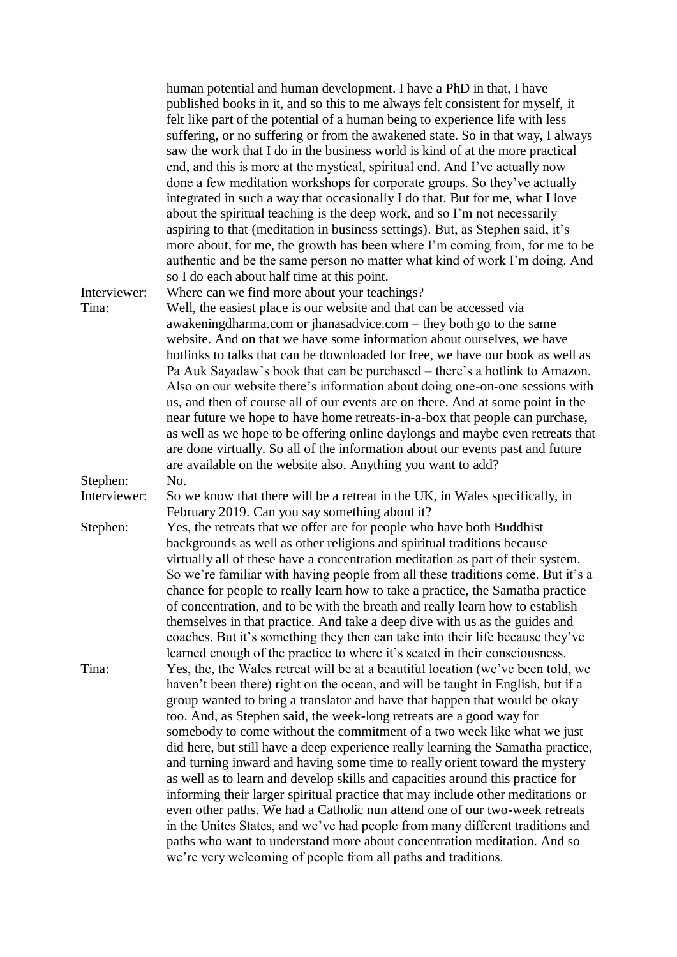|              | human potential and human development. I have a PhD in that, I have<br>published books in it, and so this to me always felt consistent for myself, it<br>felt like part of the potential of a human being to experience life with less<br>suffering, or no suffering or from the awakened state. So in that way, I always<br>saw the work that I do in the business world is kind of at the more practical<br>end, and this is more at the mystical, spiritual end. And I've actually now<br>done a few meditation workshops for corporate groups. So they've actually<br>integrated in such a way that occasionally I do that. But for me, what I love<br>about the spiritual teaching is the deep work, and so I'm not necessarily<br>aspiring to that (meditation in business settings). But, as Stephen said, it's<br>more about, for me, the growth has been where I'm coming from, for me to be<br>authentic and be the same person no matter what kind of work I'm doing. And<br>so I do each about half time at this point. |
|--------------|-------------------------------------------------------------------------------------------------------------------------------------------------------------------------------------------------------------------------------------------------------------------------------------------------------------------------------------------------------------------------------------------------------------------------------------------------------------------------------------------------------------------------------------------------------------------------------------------------------------------------------------------------------------------------------------------------------------------------------------------------------------------------------------------------------------------------------------------------------------------------------------------------------------------------------------------------------------------------------------------------------------------------------------|
| Interviewer: | Where can we find more about your teachings?                                                                                                                                                                                                                                                                                                                                                                                                                                                                                                                                                                                                                                                                                                                                                                                                                                                                                                                                                                                        |
| Tina:        | Well, the easiest place is our website and that can be accessed via                                                                                                                                                                                                                                                                                                                                                                                                                                                                                                                                                                                                                                                                                                                                                                                                                                                                                                                                                                 |
|              | awakeningdharma.com or jhanasadvice.com – they both go to the same                                                                                                                                                                                                                                                                                                                                                                                                                                                                                                                                                                                                                                                                                                                                                                                                                                                                                                                                                                  |
|              | website. And on that we have some information about ourselves, we have                                                                                                                                                                                                                                                                                                                                                                                                                                                                                                                                                                                                                                                                                                                                                                                                                                                                                                                                                              |
|              | hotlinks to talks that can be downloaded for free, we have our book as well as                                                                                                                                                                                                                                                                                                                                                                                                                                                                                                                                                                                                                                                                                                                                                                                                                                                                                                                                                      |
|              | Pa Auk Sayadaw's book that can be purchased – there's a hotlink to Amazon.                                                                                                                                                                                                                                                                                                                                                                                                                                                                                                                                                                                                                                                                                                                                                                                                                                                                                                                                                          |
|              | Also on our website there's information about doing one-on-one sessions with<br>us, and then of course all of our events are on there. And at some point in the                                                                                                                                                                                                                                                                                                                                                                                                                                                                                                                                                                                                                                                                                                                                                                                                                                                                     |
|              | near future we hope to have home retreats-in-a-box that people can purchase,                                                                                                                                                                                                                                                                                                                                                                                                                                                                                                                                                                                                                                                                                                                                                                                                                                                                                                                                                        |
|              | as well as we hope to be offering online daylongs and maybe even retreats that                                                                                                                                                                                                                                                                                                                                                                                                                                                                                                                                                                                                                                                                                                                                                                                                                                                                                                                                                      |
|              | are done virtually. So all of the information about our events past and future                                                                                                                                                                                                                                                                                                                                                                                                                                                                                                                                                                                                                                                                                                                                                                                                                                                                                                                                                      |
|              | are available on the website also. Anything you want to add?                                                                                                                                                                                                                                                                                                                                                                                                                                                                                                                                                                                                                                                                                                                                                                                                                                                                                                                                                                        |
| Stephen:     | No.                                                                                                                                                                                                                                                                                                                                                                                                                                                                                                                                                                                                                                                                                                                                                                                                                                                                                                                                                                                                                                 |
| Interviewer: | So we know that there will be a retreat in the UK, in Wales specifically, in                                                                                                                                                                                                                                                                                                                                                                                                                                                                                                                                                                                                                                                                                                                                                                                                                                                                                                                                                        |
|              | February 2019. Can you say something about it?                                                                                                                                                                                                                                                                                                                                                                                                                                                                                                                                                                                                                                                                                                                                                                                                                                                                                                                                                                                      |
| Stephen:     | Yes, the retreats that we offer are for people who have both Buddhist                                                                                                                                                                                                                                                                                                                                                                                                                                                                                                                                                                                                                                                                                                                                                                                                                                                                                                                                                               |
|              | backgrounds as well as other religions and spiritual traditions because<br>virtually all of these have a concentration meditation as part of their system.                                                                                                                                                                                                                                                                                                                                                                                                                                                                                                                                                                                                                                                                                                                                                                                                                                                                          |
|              | So we're familiar with having people from all these traditions come. But it's a                                                                                                                                                                                                                                                                                                                                                                                                                                                                                                                                                                                                                                                                                                                                                                                                                                                                                                                                                     |
|              | chance for people to really learn how to take a practice, the Samatha practice                                                                                                                                                                                                                                                                                                                                                                                                                                                                                                                                                                                                                                                                                                                                                                                                                                                                                                                                                      |
|              | of concentration, and to be with the breath and really learn how to establish                                                                                                                                                                                                                                                                                                                                                                                                                                                                                                                                                                                                                                                                                                                                                                                                                                                                                                                                                       |
|              | themselves in that practice. And take a deep dive with us as the guides and                                                                                                                                                                                                                                                                                                                                                                                                                                                                                                                                                                                                                                                                                                                                                                                                                                                                                                                                                         |
|              | coaches. But it's something they then can take into their life because they've                                                                                                                                                                                                                                                                                                                                                                                                                                                                                                                                                                                                                                                                                                                                                                                                                                                                                                                                                      |
|              | learned enough of the practice to where it's seated in their consciousness.                                                                                                                                                                                                                                                                                                                                                                                                                                                                                                                                                                                                                                                                                                                                                                                                                                                                                                                                                         |
| Tina:        | Yes, the, the Wales retreat will be at a beautiful location (we've been told, we                                                                                                                                                                                                                                                                                                                                                                                                                                                                                                                                                                                                                                                                                                                                                                                                                                                                                                                                                    |
|              | haven't been there) right on the ocean, and will be taught in English, but if a                                                                                                                                                                                                                                                                                                                                                                                                                                                                                                                                                                                                                                                                                                                                                                                                                                                                                                                                                     |
|              | group wanted to bring a translator and have that happen that would be okay                                                                                                                                                                                                                                                                                                                                                                                                                                                                                                                                                                                                                                                                                                                                                                                                                                                                                                                                                          |
|              | too. And, as Stephen said, the week-long retreats are a good way for<br>somebody to come without the commitment of a two week like what we just                                                                                                                                                                                                                                                                                                                                                                                                                                                                                                                                                                                                                                                                                                                                                                                                                                                                                     |
|              | did here, but still have a deep experience really learning the Samatha practice,                                                                                                                                                                                                                                                                                                                                                                                                                                                                                                                                                                                                                                                                                                                                                                                                                                                                                                                                                    |
|              | and turning inward and having some time to really orient toward the mystery                                                                                                                                                                                                                                                                                                                                                                                                                                                                                                                                                                                                                                                                                                                                                                                                                                                                                                                                                         |
|              | as well as to learn and develop skills and capacities around this practice for                                                                                                                                                                                                                                                                                                                                                                                                                                                                                                                                                                                                                                                                                                                                                                                                                                                                                                                                                      |
|              | informing their larger spiritual practice that may include other meditations or                                                                                                                                                                                                                                                                                                                                                                                                                                                                                                                                                                                                                                                                                                                                                                                                                                                                                                                                                     |
|              | even other paths. We had a Catholic nun attend one of our two-week retreats                                                                                                                                                                                                                                                                                                                                                                                                                                                                                                                                                                                                                                                                                                                                                                                                                                                                                                                                                         |
|              | in the Unites States, and we've had people from many different traditions and                                                                                                                                                                                                                                                                                                                                                                                                                                                                                                                                                                                                                                                                                                                                                                                                                                                                                                                                                       |
|              | paths who want to understand more about concentration meditation. And so                                                                                                                                                                                                                                                                                                                                                                                                                                                                                                                                                                                                                                                                                                                                                                                                                                                                                                                                                            |
|              | we're very welcoming of people from all paths and traditions.                                                                                                                                                                                                                                                                                                                                                                                                                                                                                                                                                                                                                                                                                                                                                                                                                                                                                                                                                                       |